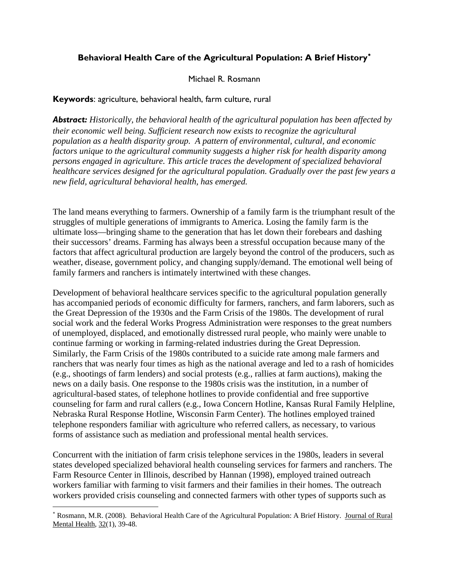# **Behavioral Health Care of the Agricultural Population: A Brief History**[∗](#page-0-0)

## Michael R. Rosmann

## **Keywords**: agriculture, behavioral health, farm culture, rural

*Abstract: Historically, the behavioral health of the agricultural population has been affected by their economic well being. Sufficient research now exists to recognize the agricultural population as a health disparity group. A pattern of environmental, cultural, and economic factors unique to the agricultural community suggests a higher risk for health disparity among persons engaged in agriculture. This article traces the development of specialized behavioral healthcare services designed for the agricultural population. Gradually over the past few years a new field, agricultural behavioral health, has emerged.*

The land means everything to farmers. Ownership of a family farm is the triumphant result of the struggles of multiple generations of immigrants to America. Losing the family farm is the ultimate loss—bringing shame to the generation that has let down their forebears and dashing their successors' dreams. Farming has always been a stressful occupation because many of the factors that affect agricultural production are largely beyond the control of the producers, such as weather, disease, government policy, and changing supply/demand. The emotional well being of family farmers and ranchers is intimately intertwined with these changes.

Development of behavioral healthcare services specific to the agricultural population generally has accompanied periods of economic difficulty for farmers, ranchers, and farm laborers, such as the Great Depression of the 1930s and the Farm Crisis of the 1980s. The development of rural social work and the federal Works Progress Administration were responses to the great numbers of unemployed, displaced, and emotionally distressed rural people, who mainly were unable to continue farming or working in farming-related industries during the Great Depression. Similarly, the Farm Crisis of the 1980s contributed to a suicide rate among male farmers and ranchers that was nearly four times as high as the national average and led to a rash of homicides (e.g., shootings of farm lenders) and social protests (e.g., rallies at farm auctions), making the news on a daily basis. One response to the 1980s crisis was the institution, in a number of agricultural-based states, of telephone hotlines to provide confidential and free supportive counseling for farm and rural callers (e.g., Iowa Concern Hotline, Kansas Rural Family Helpline, Nebraska Rural Response Hotline, Wisconsin Farm Center). The hotlines employed trained telephone responders familiar with agriculture who referred callers, as necessary, to various forms of assistance such as mediation and professional mental health services.

Concurrent with the initiation of farm crisis telephone services in the 1980s, leaders in several states developed specialized behavioral health counseling services for farmers and ranchers. The Farm Resource Center in Illinois, described by Hannan (1998), employed trained outreach workers familiar with farming to visit farmers and their families in their homes. The outreach workers provided crisis counseling and connected farmers with other types of supports such as

1

<span id="page-0-0"></span><sup>∗</sup> Rosmann, M.R. (2008). Behavioral Health Care of the Agricultural Population: A Brief History. Journal of Rural Mental Health, 32(1), 39-48.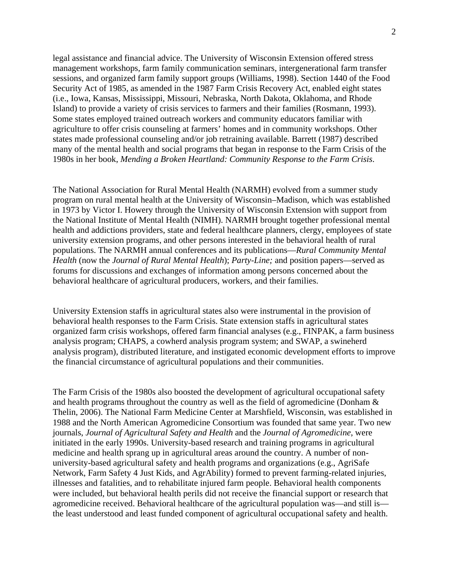legal assistance and financial advice. The University of Wisconsin Extension offered stress management workshops, farm family communication seminars, intergenerational farm transfer sessions, and organized farm family support groups (Williams, 1998). Section 1440 of the Food Security Act of 1985, as amended in the 1987 Farm Crisis Recovery Act, enabled eight states (i.e., Iowa, Kansas, Mississippi, Missouri, Nebraska, North Dakota, Oklahoma, and Rhode Island) to provide a variety of crisis services to farmers and their families (Rosmann, 1993). Some states employed trained outreach workers and community educators familiar with agriculture to offer crisis counseling at farmers' homes and in community workshops. Other states made professional counseling and/or job retraining available. Barrett (1987) described many of the mental health and social programs that began in response to the Farm Crisis of the 1980s in her book, *Mending a Broken Heartland: Community Response to the Farm Crisis*.

The National Association for Rural Mental Health (NARMH) evolved from a summer study program on rural mental health at the University of Wisconsin–Madison, which was established in 1973 by Victor I. Howery through the University of Wisconsin Extension with support from the National Institute of Mental Health (NIMH). NARMH brought together professional mental health and addictions providers, state and federal healthcare planners, clergy, employees of state university extension programs, and other persons interested in the behavioral health of rural populations. The NARMH annual conferences and its publications—*Rural Community Mental Health* (now the *Journal of Rural Mental Health*); *Party-Line;* and position papers—served as forums for discussions and exchanges of information among persons concerned about the behavioral healthcare of agricultural producers, workers, and their families.

University Extension staffs in agricultural states also were instrumental in the provision of behavioral health responses to the Farm Crisis. State extension staffs in agricultural states organized farm crisis workshops, offered farm financial analyses (e.g., FINPAK, a farm business analysis program; CHAPS, a cowherd analysis program system; and SWAP, a swineherd analysis program), distributed literature, and instigated economic development efforts to improve the financial circumstance of agricultural populations and their communities.

The Farm Crisis of the 1980s also boosted the development of agricultural occupational safety and health programs throughout the country as well as the field of agromedicine (Donham & Thelin, 2006). The National Farm Medicine Center at Marshfield, Wisconsin, was established in 1988 and the North American Agromedicine Consortium was founded that same year. Two new journals, *Journal of Agricultural Safety and Health* and the *Journal of Agromedicine*, were initiated in the early 1990s. University-based research and training programs in agricultural medicine and health sprang up in agricultural areas around the country. A number of nonuniversity-based agricultural safety and health programs and organizations (e.g., AgriSafe Network, Farm Safety 4 Just Kids, and AgrAbility) formed to prevent farming-related injuries, illnesses and fatalities, and to rehabilitate injured farm people. Behavioral health components were included, but behavioral health perils did not receive the financial support or research that agromedicine received. Behavioral healthcare of the agricultural population was—and still is the least understood and least funded component of agricultural occupational safety and health.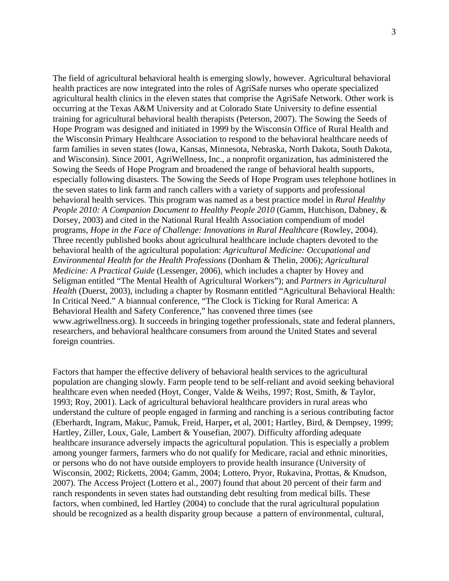The field of agricultural behavioral health is emerging slowly, however. Agricultural behavioral health practices are now integrated into the roles of AgriSafe nurses who operate specialized agricultural health clinics in the eleven states that comprise the AgriSafe Network. Other work is occurring at the Texas A&M University and at Colorado State University to define essential training for agricultural behavioral health therapists (Peterson, 2007). The Sowing the Seeds of Hope Program was designed and initiated in 1999 by the Wisconsin Office of Rural Health and the Wisconsin Primary Healthcare Association to respond to the behavioral healthcare needs of farm families in seven states (Iowa, Kansas, Minnesota, Nebraska, North Dakota, South Dakota, and Wisconsin). Since 2001, AgriWellness, Inc., a nonprofit organization, has administered the Sowing the Seeds of Hope Program and broadened the range of behavioral health supports, especially following disasters. The Sowing the Seeds of Hope Program uses telephone hotlines in the seven states to link farm and ranch callers with a variety of supports and professional behavioral health services. This program was named as a best practice model in *Rural Healthy People 2010: A Companion Document to Healthy People 2010* (Gamm, Hutchison, Dabney, & Dorsey, 2003) and cited in the National Rural Health Association compendium of model programs, *Hope in the Face of Challenge: Innovations in Rural Healthcare* (Rowley, 2004). Three recently published books about agricultural healthcare include chapters devoted to the behavioral health of the agricultural population: *Agricultural Medicine: Occupational and Environmental Health for the Health Professions* (Donham & Thelin, 2006); *Agricultural Medicine: A Practical Guide* (Lessenger, 2006), which includes a chapter by Hovey and Seligman entitled "The Mental Health of Agricultural Workers"); and *Partners in Agricultural Health* (Duerst, 2003), including a chapter by Rosmann entitled "Agricultural Behavioral Health: In Critical Need." A biannual conference, "The Clock is Ticking for Rural America: A Behavioral Health and Safety Conference," has convened three times (see www.agriwellness.org). It succeeds in bringing together professionals, state and federal planners, researchers, and behavioral healthcare consumers from around the United States and several foreign countries.

Factors that hamper the effective delivery of behavioral health services to the agricultural population are changing slowly. Farm people tend to be self-reliant and avoid seeking behavioral healthcare even when needed (Hoyt, Conger, Valde & Weihs, 1997; Rost, Smith, & Taylor, 1993; Roy, 2001). Lack of agricultural behavioral healthcare providers in rural areas who understand the culture of people engaged in farming and ranching is a serious contributing factor (Eberhardt, Ingram, Makuc, Pamuk, Freid, Harper**,** et al, 2001; Hartley, Bird, & Dempsey, 1999; Hartley, Ziller, Loux, Gale, Lambert & Yousefian, 2007). Difficulty affording adequate healthcare insurance adversely impacts the agricultural population. This is especially a problem among younger farmers, farmers who do not qualify for Medicare, racial and ethnic minorities, or persons who do not have outside employers to provide health insurance (University of Wisconsin, 2002; Ricketts, 2004; Gamm, 2004; Lottero, Pryor, Rukavina, Prottas, & Knudson, 2007). The Access Project (Lottero et al., 2007) found that about 20 percent of their farm and ranch respondents in seven states had outstanding debt resulting from medical bills. These factors, when combined, led Hartley (2004) to conclude that the rural agricultural population should be recognized as a health disparity group because a pattern of environmental, cultural,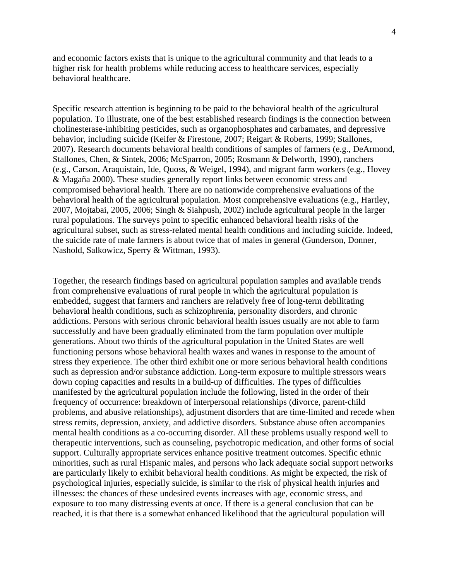and economic factors exists that is unique to the agricultural community and that leads to a higher risk for health problems while reducing access to healthcare services, especially behavioral healthcare.

Specific research attention is beginning to be paid to the behavioral health of the agricultural population. To illustrate, one of the best established research findings is the connection between cholinesterase-inhibiting pesticides, such as organophosphates and carbamates, and depressive behavior, including suicide (Keifer & Firestone, 2007; Reigart & Roberts, 1999; Stallones, 2007). Research documents behavioral health conditions of samples of farmers (e.g., DeArmond, Stallones, Chen, & Sintek, 2006; McSparron, 2005; Rosmann & Delworth, 1990), ranchers (e.g., Carson, Araquistain, Ide, Quoss, & Weigel, 1994), and migrant farm workers (e.g., Hovey & Magaña 2000). These studies generally report links between economic stress and compromised behavioral health. There are no nationwide comprehensive evaluations of the behavioral health of the agricultural population. Most comprehensive evaluations (e.g., Hartley, 2007, Mojtabai, 2005, 2006; Singh & Siahpush, 2002) include agricultural people in the larger rural populations. The surveys point to specific enhanced behavioral health risks of the agricultural subset, such as stress-related mental health conditions and including suicide. Indeed, the suicide rate of male farmers is about twice that of males in general (Gunderson, Donner, Nashold, Salkowicz, Sperry & Wittman, 1993).

Together, the research findings based on agricultural population samples and available trends from comprehensive evaluations of rural people in which the agricultural population is embedded, suggest that farmers and ranchers are relatively free of long-term debilitating behavioral health conditions, such as schizophrenia, personality disorders, and chronic addictions. Persons with serious chronic behavioral health issues usually are not able to farm successfully and have been gradually eliminated from the farm population over multiple generations. About two thirds of the agricultural population in the United States are well functioning persons whose behavioral health waxes and wanes in response to the amount of stress they experience. The other third exhibit one or more serious behavioral health conditions such as depression and/or substance addiction. Long-term exposure to multiple stressors wears down coping capacities and results in a build-up of difficulties. The types of difficulties manifested by the agricultural population include the following, listed in the order of their frequency of occurrence: breakdown of interpersonal relationships (divorce, parent-child problems, and abusive relationships), adjustment disorders that are time-limited and recede when stress remits, depression, anxiety, and addictive disorders. Substance abuse often accompanies mental health conditions as a co-occurring disorder. All these problems usually respond well to therapeutic interventions, such as counseling, psychotropic medication, and other forms of social support. Culturally appropriate services enhance positive treatment outcomes. Specific ethnic minorities, such as rural Hispanic males, and persons who lack adequate social support networks are particularly likely to exhibit behavioral health conditions. As might be expected, the risk of psychological injuries, especially suicide, is similar to the risk of physical health injuries and illnesses: the chances of these undesired events increases with age, economic stress, and exposure to too many distressing events at once. If there is a general conclusion that can be reached, it is that there is a somewhat enhanced likelihood that the agricultural population will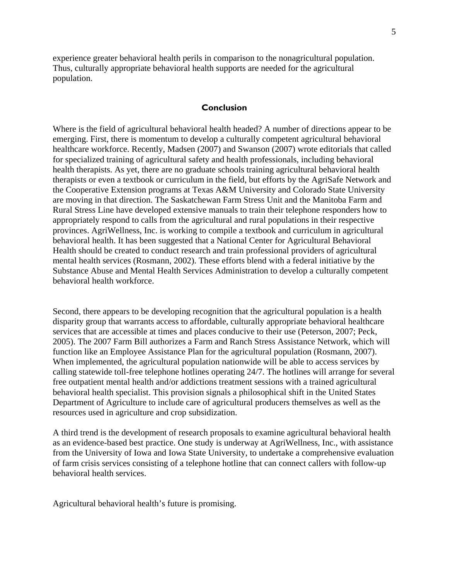experience greater behavioral health perils in comparison to the nonagricultural population. Thus, culturally appropriate behavioral health supports are needed for the agricultural population.

#### **Conclusion**

Where is the field of agricultural behavioral health headed? A number of directions appear to be emerging. First, there is momentum to develop a culturally competent agricultural behavioral healthcare workforce. Recently, Madsen (2007) and Swanson (2007) wrote editorials that called for specialized training of agricultural safety and health professionals, including behavioral health therapists. As yet, there are no graduate schools training agricultural behavioral health therapists or even a textbook or curriculum in the field, but efforts by the AgriSafe Network and the Cooperative Extension programs at Texas A&M University and Colorado State University are moving in that direction. The Saskatchewan Farm Stress Unit and the Manitoba Farm and Rural Stress Line have developed extensive manuals to train their telephone responders how to appropriately respond to calls from the agricultural and rural populations in their respective provinces. AgriWellness, Inc. is working to compile a textbook and curriculum in agricultural behavioral health. It has been suggested that a National Center for Agricultural Behavioral Health should be created to conduct research and train professional providers of agricultural mental health services (Rosmann, 2002). These efforts blend with a federal initiative by the Substance Abuse and Mental Health Services Administration to develop a culturally competent behavioral health workforce.

Second, there appears to be developing recognition that the agricultural population is a health disparity group that warrants access to affordable, culturally appropriate behavioral healthcare services that are accessible at times and places conducive to their use (Peterson, 2007; Peck, 2005). The 2007 Farm Bill authorizes a Farm and Ranch Stress Assistance Network, which will function like an Employee Assistance Plan for the agricultural population (Rosmann, 2007). When implemented, the agricultural population nationwide will be able to access services by calling statewide toll-free telephone hotlines operating 24/7. The hotlines will arrange for several free outpatient mental health and/or addictions treatment sessions with a trained agricultural behavioral health specialist. This provision signals a philosophical shift in the United States Department of Agriculture to include care of agricultural producers themselves as well as the resources used in agriculture and crop subsidization.

A third trend is the development of research proposals to examine agricultural behavioral health as an evidence-based best practice. One study is underway at AgriWellness, Inc., with assistance from the University of Iowa and Iowa State University, to undertake a comprehensive evaluation of farm crisis services consisting of a telephone hotline that can connect callers with follow-up behavioral health services.

Agricultural behavioral health's future is promising.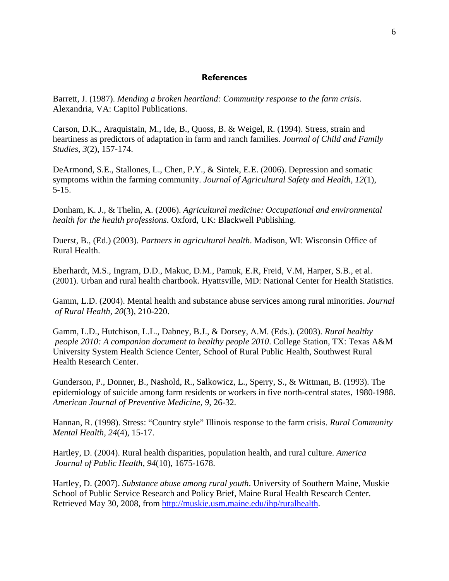#### **References**

Barrett, J. (1987). *Mending a broken heartland: Community response to the farm crisis*. Alexandria, VA: Capitol Publications.

Carson, D.K., Araquistain, M., Ide, B., Quoss, B. & Weigel, R. (1994). Stress, strain and heartiness as predictors of adaptation in farm and ranch families. *Journal of Child and Family Studies, 3*(2), 157-174.

DeArmond, S.E., Stallones, L., Chen, P.Y., & Sintek, E.E. (2006). Depression and somatic symptoms within the farming community. *Journal of Agricultural Safety and Health, 12*(1), 5-15.

Donham, K. J., & Thelin, A. (2006). *Agricultural medicine: Occupational and environmental health for the health professions*. Oxford, UK: Blackwell Publishing.

Duerst, B., (Ed.) (2003). *Partners in agricultural health*. Madison, WI: Wisconsin Office of Rural Health.

Eberhardt, M.S., Ingram, D.D., Makuc, D.M., Pamuk, E.R, Freid, V.M, Harper, S.B., et al. (2001). Urban and rural health chartbook. Hyattsville, MD: National Center for Health Statistics.

Gamm, L.D. (2004). Mental health and substance abuse services among rural minorities. *Journal of Rural Health, 20*(3), 210-220.

Gamm, L.D., Hutchison, L.L., Dabney, B.J., & Dorsey, A.M. (Eds.). (2003). *Rural healthy people 2010: A companion document to healthy people 2010*. College Station, TX: Texas A&M University System Health Science Center, School of Rural Public Health, Southwest Rural Health Research Center.

Gunderson, P., Donner, B., Nashold, R., Salkowicz, L., Sperry, S., & Wittman, B. (1993). The epidemiology of suicide among farm residents or workers in five north-central states, 1980-1988. *American Journal of Preventive Medicine, 9*, 26-32.

Hannan, R. (1998). Stress: "Country style" Illinois response to the farm crisis. *Rural Community Mental Health, 24*(4), 15-17.

Hartley, D. (2004). Rural health disparities, population health, and rural culture. *America Journal of Public Health, 94*(10), 1675-1678.

Hartley, D. (2007). *Substance abuse among rural youth*. University of Southern Maine, Muskie School of Public Service Research and Policy Brief, Maine Rural Health Research Center. Retrieved May 30, 2008, from [http://muskie.usm.maine.edu/ihp/ruralhealth.](http://muskie.usm.maine.edu/ihp/ruralhealth)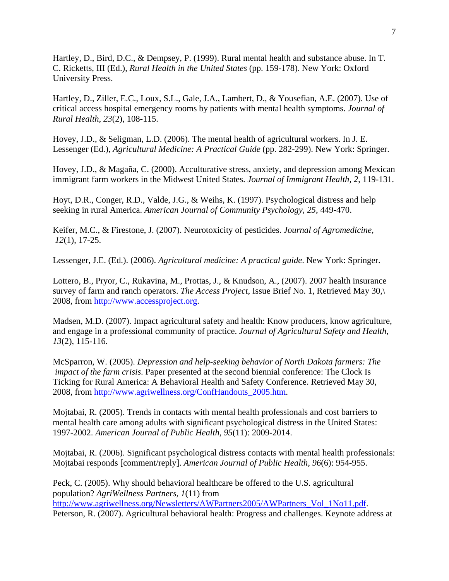Hartley, D., Bird, D.C., & Dempsey, P. (1999). Rural mental health and substance abuse. In T. C. Ricketts, III (Ed.), *Rural Health in the United States* (pp. 159-178). New York: Oxford University Press.

Hartley, D., Ziller, E.C., Loux, S.L., Gale, J.A., Lambert, D., & Yousefian, A.E. (2007). Use of critical access hospital emergency rooms by patients with mental health symptoms. *Journal of Rural Health, 23*(2), 108-115.

Hovey, J.D., & Seligman, L.D. (2006). The mental health of agricultural workers. In J. E. Lessenger (Ed.), *Agricultural Medicine: A Practical Guide* (pp. 282-299). New York: Springer.

Hovey, J.D., & Magaña, C. (2000). Acculturative stress, anxiety, and depression among Mexican immigrant farm workers in the Midwest United States. *Journal of Immigrant Health, 2*, 119-131.

Hoyt, D.R., Conger, R.D., Valde, J.G., & Weihs, K. (1997). Psychological distress and help seeking in rural America. *American Journal of Community Psychology, 25*, 449-470.

Keifer, M.C., & Firestone, J. (2007). Neurotoxicity of pesticides. *Journal of Agromedicine, 12*(1), 17-25.

Lessenger, J.E. (Ed.). (2006). *Agricultural medicine: A practical guide*. New York: Springer.

Lottero, B., Pryor, C., Rukavina, M., Prottas, J., & Knudson, A., (2007). 2007 health insurance survey of farm and ranch operators. *The Access Project*, Issue Brief No. 1, Retrieved May 30,\ 2008, from [http://www.accessproject.org.](http://www.accessproject.org/)

Madsen, M.D. (2007). Impact agricultural safety and health: Know producers, know agriculture, and engage in a professional community of practice. *Journal of Agricultural Safety and Health, 13*(2), 115-116.

McSparron, W. (2005). *Depression and help-seeking behavior of North Dakota farmers: The impact of the farm crisis*. Paper presented at the second biennial conference: The Clock Is Ticking for Rural America: A Behavioral Health and Safety Conference. Retrieved May 30, 2008, from [http://www.agriwellness.org/ConfHandouts\\_2005.htm.](http://www.agriwellness.org/ConfHandouts_2005.htm)

Mojtabai, R. (2005). Trends in contacts with mental health professionals and cost barriers to mental health care among adults with significant psychological distress in the United States: 1997-2002. *American Journal of Public Health*, *95*(11): 2009-2014.

Mojtabai, R. (2006). Significant psychological distress contacts with mental health professionals: Mojtabai responds [comment/reply]. *American Journal of Public Health, 96*(6): 954-955.

Peck, C. (2005). Why should behavioral healthcare be offered to the U.S. agricultural population? *AgriWellness Partners, 1*(11) from [http://www.agriwellness.org/Newsletters/AWPartners2005/AWPartners\\_Vol\\_1No11.pdf.](http://www.agriwellness.org/Newsletters/AWPartners2005/AWPartners_Vol_1No11.pdf) Peterson, R. (2007). Agricultural behavioral health: Progress and challenges. Keynote address at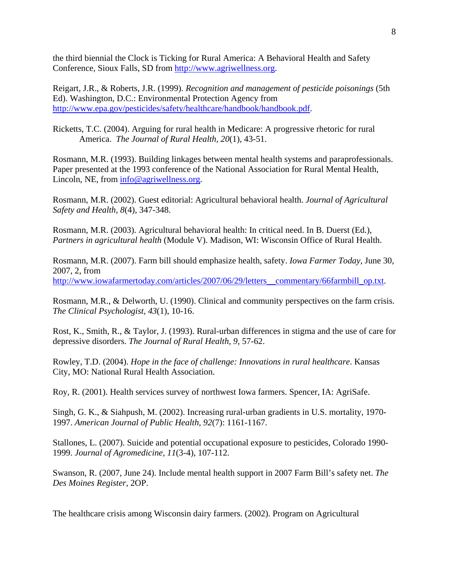the third biennial the Clock is Ticking for Rural America: A Behavioral Health and Safety Conference, Sioux Falls, SD from [http://www.agriwellness.org](http://www.agriwellness.org/).

Reigart, J.R., & Roberts, J.R. (1999). *Recognition and management of pesticide poisonings* (5th Ed). Washington, D.C.: Environmental Protection Agency from [http://www.epa.gov/pesticides/safety/healthcare/handbook/handbook.pdf.](http://www.epa.gov/pesticides/safety/healthcare/handbook/handbook.pdf)

Ricketts, T.C. (2004). Arguing for rural health in Medicare: A progressive rhetoric for rural America. *The Journal of Rural Health, 20*(1), 43-51.

Rosmann, M.R. (1993). Building linkages between mental health systems and paraprofessionals. Paper presented at the 1993 conference of the National Association for Rural Mental Health, Lincoln, NE, from [info@agriwellness.org](mailto:info@agriwellness.org).

Rosmann, M.R. (2002). Guest editorial: Agricultural behavioral health. *Journal of Agricultural Safety and Health, 8*(4), 347-348.

Rosmann, M.R. (2003). Agricultural behavioral health: In critical need. In B. Duerst (Ed.), *Partners in agricultural health* (Module V). Madison, WI: Wisconsin Office of Rural Health.

Rosmann, M.R. (2007). Farm bill should emphasize health, safety. *Iowa Farmer Today*, June 30, 2007, 2, from http://www.iowafarmertoday.com/articles/2007/06/29/letters\_commentary/66farmbill\_op.txt.

Rosmann, M.R., & Delworth, U. (1990). Clinical and community perspectives on the farm crisis. *The Clinical Psychologist, 43*(1), 10-16.

Rost, K., Smith, R., & Taylor, J. (1993). Rural-urban differences in stigma and the use of care for depressive disorders. *The Journal of Rural Health, 9*, 57-62.

Rowley, T.D. (2004). *Hope in the face of challenge: Innovations in rural healthcare*. Kansas City, MO: National Rural Health Association.

Roy, R. (2001). Health services survey of northwest Iowa farmers. Spencer, IA: AgriSafe.

Singh, G. K., & Siahpush, M. (2002). Increasing rural-urban gradients in U.S. mortality, 1970- 1997. *American Journal of Public Health, 92*(7): 1161-1167.

Stallones, L. (2007). Suicide and potential occupational exposure to pesticides, Colorado 1990- 1999. *Journal of Agromedicine, 11*(3-4), 107-112.

Swanson, R. (2007, June 24). Include mental health support in 2007 Farm Bill's safety net. *The Des Moines Register*, 2OP.

The healthcare crisis among Wisconsin dairy farmers. (2002). Program on Agricultural